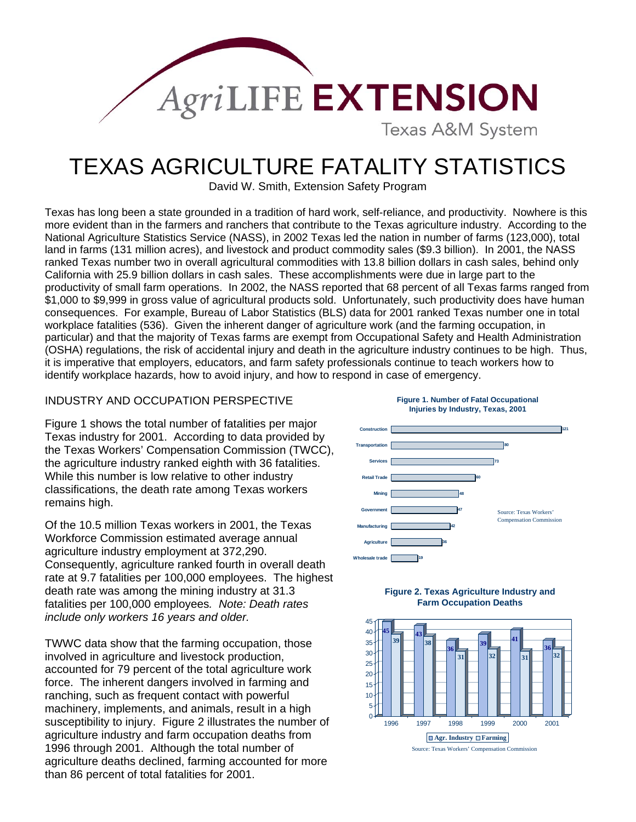

## TEXAS AGRICULTURE FATALITY STATISTICS

David W. Smith, Extension Safety Program

Texas has long been a state grounded in a tradition of hard work, self-reliance, and productivity. Nowhere is this more evident than in the farmers and ranchers that contribute to the Texas agriculture industry. According to the National Agriculture Statistics Service (NASS), in 2002 Texas led the nation in number of farms (123,000), total land in farms (131 million acres), and livestock and product commodity sales (\$9.3 billion). In 2001, the NASS ranked Texas number two in overall agricultural commodities with 13.8 billion dollars in cash sales, behind only California with 25.9 billion dollars in cash sales. These accomplishments were due in large part to the productivity of small farm operations. In 2002, the NASS reported that 68 percent of all Texas farms ranged from \$1,000 to \$9,999 in gross value of agricultural products sold. Unfortunately, such productivity does have human consequences. For example, Bureau of Labor Statistics (BLS) data for 2001 ranked Texas number one in total workplace fatalities (536). Given the inherent danger of agriculture work (and the farming occupation, in particular) and that the majority of Texas farms are exempt from Occupational Safety and Health Administration (OSHA) regulations, the risk of accidental injury and death in the agriculture industry continues to be high. Thus, it is imperative that employers, educators, and farm safety professionals continue to teach workers how to identify workplace hazards, how to avoid injury, and how to respond in case of emergency.

## INDUSTRY AND OCCUPATION PERSPECTIVE **Figure 1. Number of Fatal Occupational**

Figure 1 shows the total number of fatalities per major Texas industry for 2001. According to data provided by the Texas Workers' Compensation Commission (TWCC), the agriculture industry ranked eighth with 36 fatalities. While this number is low relative to other industry classifications, the death rate among Texas workers remains high.

Of the 10.5 million Texas workers in 2001, the Texas Workforce Commission estimated average annual agriculture industry employment at 372,290. Consequently, agriculture ranked fourth in overall death rate at 9.7 fatalities per 100,000 employees. The highest death rate was among the mining industry at 31.3 fatalities per 100,000 employees*. Note: Death rates include only workers 16 years and older.*

than 86 percent of total fatalities for 2001. TWWC data show that the farming occupation, those involved in agriculture and livestock production, accounted for 79 percent of the total agriculture work force. The inherent dangers involved in farming and ranching, such as frequent contact with powerful machinery, implements, and animals, result in a high susceptibility to injury. Figure 2 illustrates the number of agriculture industry and farm occupation deaths from 1996 through 2001. Although the total number of agriculture deaths declined, farming accounted for more